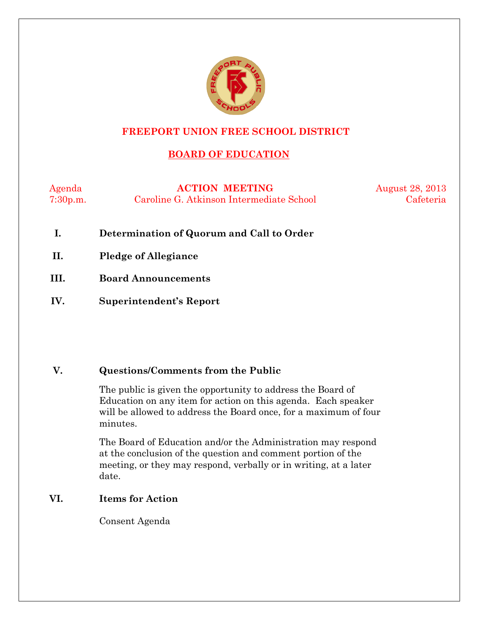

# **FREEPORT UNION FREE SCHOOL DISTRICT**

# **BOARD OF EDUCATION**

Agenda **ACTION MEETING** August 28, 2013 7:30p.m. Caroline G. Atkinson Intermediate School Cafeteria

- **I. Determination of Quorum and Call to Order**
- **II. Pledge of Allegiance**
- **III. Board Announcements**
- **IV. Superintendent's Report**

#### **V. Questions/Comments from the Public**

The public is given the opportunity to address the Board of Education on any item for action on this agenda. Each speaker will be allowed to address the Board once, for a maximum of four minutes.

The Board of Education and/or the Administration may respond at the conclusion of the question and comment portion of the meeting, or they may respond, verbally or in writing, at a later date.

#### **VI. Items for Action**

Consent Agenda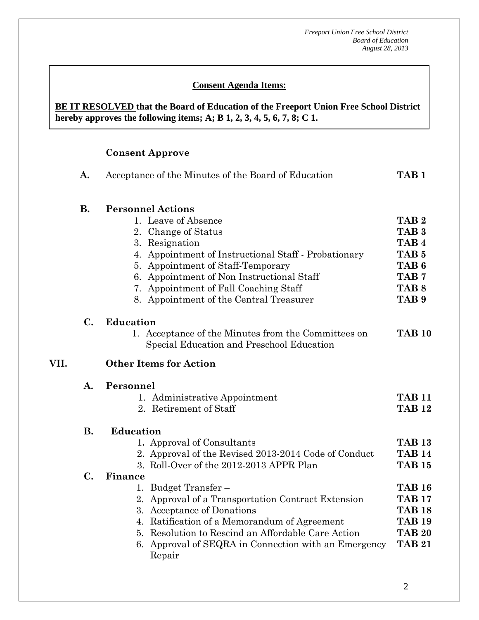#### **Consent Agenda Items:**

#### *Acceptance of the Minutes*  $\mathbf{A}$ **BE IT RESOLVED that the Board of Education of the Freeport Union Free School District hereby approves the following items; A; B 1, 2, 3, 4, 5, 6, 7, 8; C 1.**

# **Consent Approve**

 **AA. Consent - Approve** 

|      | A.                                                                                                                                     | Acceptance of the Minutes of the Board of Education                                                                                                                                                                                                                                                                    |                                                                                                                                                              |  |  |  |
|------|----------------------------------------------------------------------------------------------------------------------------------------|------------------------------------------------------------------------------------------------------------------------------------------------------------------------------------------------------------------------------------------------------------------------------------------------------------------------|--------------------------------------------------------------------------------------------------------------------------------------------------------------|--|--|--|
|      | <b>B.</b>                                                                                                                              | <b>Personnel Actions</b><br>1. Leave of Absence<br>2. Change of Status<br>3. Resignation<br>4. Appointment of Instructional Staff - Probationary<br>5. Appointment of Staff-Temporary<br>6. Appointment of Non Instructional Staff<br>7. Appointment of Fall Coaching Staff<br>8. Appointment of the Central Treasurer | TAB <sub>2</sub><br>TAB <sub>3</sub><br>TAB <sub>4</sub><br>TAB <sub>5</sub><br>TAB <sub>6</sub><br>TAB <sub>7</sub><br>TAB <sub>8</sub><br>TAB <sub>9</sub> |  |  |  |
|      | $\mathbf{C}$ .<br><b>Education</b><br>1. Acceptance of the Minutes from the Committees on<br>Special Education and Preschool Education |                                                                                                                                                                                                                                                                                                                        | <b>TAB 10</b>                                                                                                                                                |  |  |  |
| VII. |                                                                                                                                        | <b>Other Items for Action</b>                                                                                                                                                                                                                                                                                          |                                                                                                                                                              |  |  |  |
|      | A.                                                                                                                                     | Personnel<br>1. Administrative Appointment<br>2. Retirement of Staff                                                                                                                                                                                                                                                   |                                                                                                                                                              |  |  |  |
|      | <b>B.</b>                                                                                                                              | <b>Education</b><br>1. Approval of Consultants<br>2. Approval of the Revised 2013-2014 Code of Conduct<br>3. Roll-Over of the 2012-2013 APPR Plan                                                                                                                                                                      | <b>TAB 13</b><br><b>TAB 14</b><br><b>TAB 15</b>                                                                                                              |  |  |  |
|      | C.                                                                                                                                     | Finance<br>1. Budget Transfer –<br>2. Approval of a Transportation Contract Extension<br>3. Acceptance of Donations<br>4. Ratification of a Memorandum of Agreement<br>5. Resolution to Rescind an Affordable Care Action<br>6. Approval of SEQRA in Connection with an Emergency<br>Repair                            | <b>TAB 16</b><br><b>TAB 17</b><br><b>TAB 18</b><br><b>TAB 19</b><br><b>TAB 20</b><br><b>TAB 21</b>                                                           |  |  |  |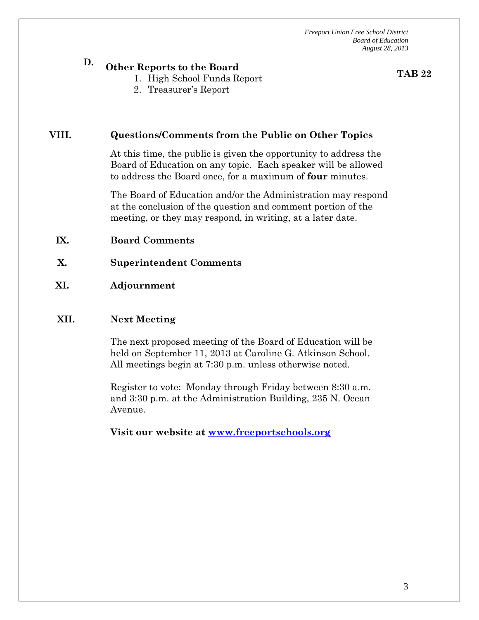# **D. Other Reports to the Board**

- 1. High School Funds Report
- 2. Treasurer's Report

**TAB 22**

#### **VIII. Questions/Comments from the Public on Other Topics**

At this time, the public is given the opportunity to address the Board of Education on any topic. Each speaker will be allowed to address the Board once, for a maximum of **four** minutes.

The Board of Education and/or the Administration may respond at the conclusion of the question and comment portion of the meeting, or they may respond, in writing, at a later date.

#### **IX. Board Comments**

**X. Superintendent Comments** 

#### **XI. Adjournment**

#### **XII. Next Meeting**

The next proposed meeting of the Board of Education will be held on September 11, 2013 at Caroline G. Atkinson School. All meetings begin at 7:30 p.m. unless otherwise noted.

Register to vote: Monday through Friday between 8:30 a.m. and 3:30 p.m. at the Administration Building, 235 N. Ocean Avenue.

**Visit our website at www.freeportschools.org**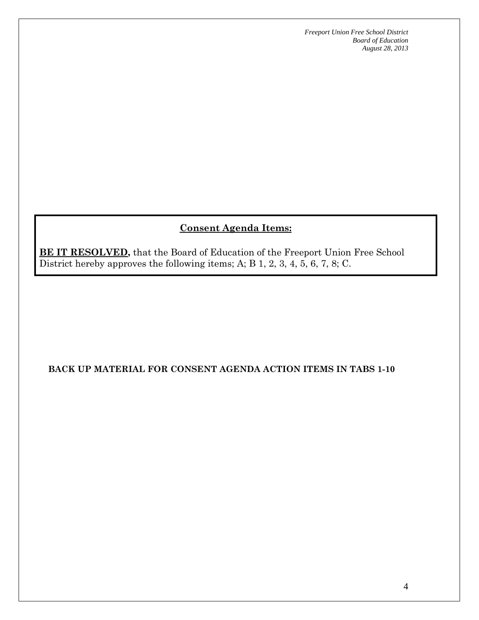# **Consent Agenda Items:**

**BE IT RESOLVED**, that the Board of Education of the Freeport Union Free School District hereby approves the following items; A; B 1, 2, 3, 4, 5, 6, 7, 8; C.

#### **BACK UP MATERIAL FOR CONSENT AGENDA ACTION ITEMS IN TABS 1-10**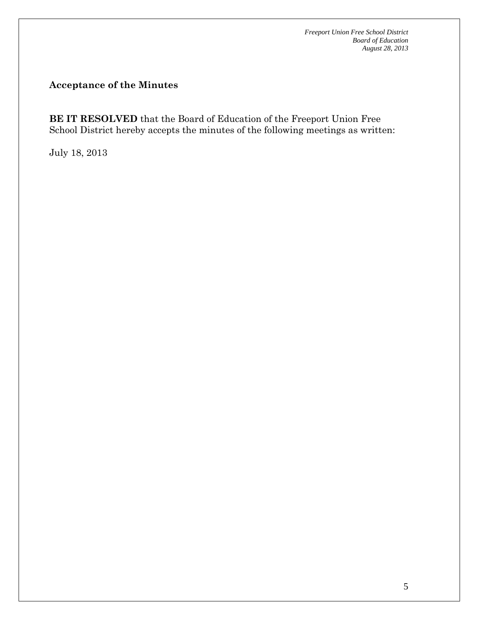# **Acceptance of the Minutes**

**BE IT RESOLVED** that the Board of Education of the Freeport Union Free School District hereby accepts the minutes of the following meetings as written:

July 18, 2013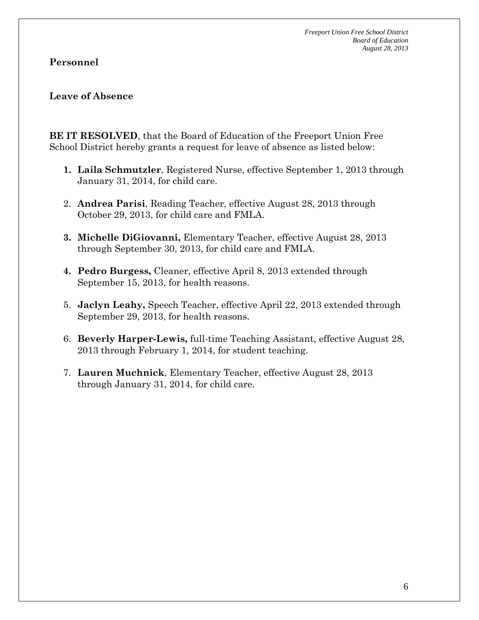## **Personnel**

#### **Leave of Absence**

**BE IT RESOLVED**, that the Board of Education of the Freeport Union Free School District hereby grants a request for leave of absence as listed below:

- **1. Laila Schmutzler**, Registered Nurse, effective September 1, 2013 through January 31, 2014, for child care.
- 2. **Andrea Parisi**, Reading Teacher, effective August 28, 2013 through October 29, 2013, for child care and FMLA.
- **3. Michelle DiGiovanni,** Elementary Teacher, effective August 28, 2013 through September 30, 2013, for child care and FMLA.
- **4. Pedro Burgess,** Cleaner, effective April 8, 2013 extended through September 15, 2013, for health reasons.
- 5. **Jaclyn Leahy,** Speech Teacher, effective April 22, 2013 extended through September 29, 2013, for health reasons.
- 6. **Beverly Harper-Lewis,** full-time Teaching Assistant, effective August 28, 2013 through February 1, 2014, for student teaching.
- 7. **Lauren Muchnick**, Elementary Teacher, effective August 28, 2013 through January 31, 2014, for child care.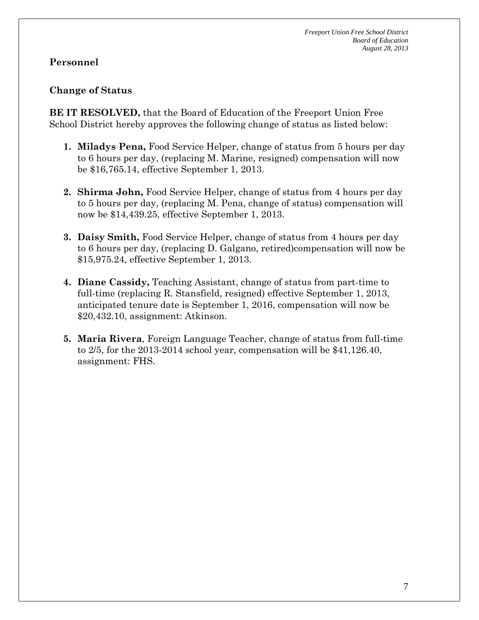# **Personnel**

#### **Change of Status**

**BE IT RESOLVED,** that the Board of Education of the Freeport Union Free School District hereby approves the following change of status as listed below:

- **1. Miladys Pena,** Food Service Helper, change of status from 5 hours per day to 6 hours per day, (replacing M. Marine, resigned) compensation will now be \$16,765.14, effective September 1, 2013.
- **2. Shirma John,** Food Service Helper, change of status from 4 hours per day to 5 hours per day, (replacing M. Pena, change of status) compensation will now be \$14,439.25, effective September 1, 2013.
- **3. Daisy Smith,** Food Service Helper, change of status from 4 hours per day to 6 hours per day, (replacing D. Galgano, retired)compensation will now be \$15,975.24, effective September 1, 2013.
- **4. Diane Cassidy,** Teaching Assistant, change of status from part-time to full-time (replacing R. Stansfield, resigned) effective September 1, 2013, anticipated tenure date is September 1, 2016, compensation will now be \$20,432.10, assignment: Atkinson.
- **5. Maria Rivera**, Foreign Language Teacher, change of status from full-time to 2/5, for the 2013-2014 school year, compensation will be \$41,126.40, assignment: FHS.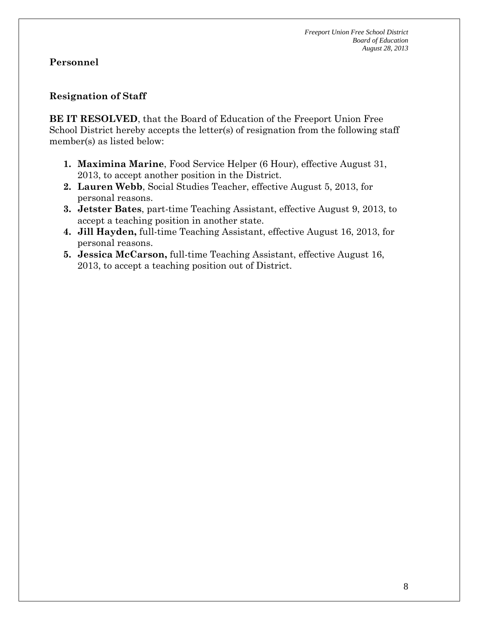# **Resignation of Staff**

**BE IT RESOLVED**, that the Board of Education of the Freeport Union Free School District hereby accepts the letter(s) of resignation from the following staff member(s) as listed below:

- **1. Maximina Marine**, Food Service Helper (6 Hour), effective August 31, 2013, to accept another position in the District.
- **2. Lauren Webb**, Social Studies Teacher, effective August 5, 2013, for personal reasons.
- **3. Jetster Bates**, part-time Teaching Assistant, effective August 9, 2013, to accept a teaching position in another state.
- **4. Jill Hayden,** full-time Teaching Assistant, effective August 16, 2013, for personal reasons.
- **5. Jessica McCarson,** full-time Teaching Assistant, effective August 16, 2013, to accept a teaching position out of District.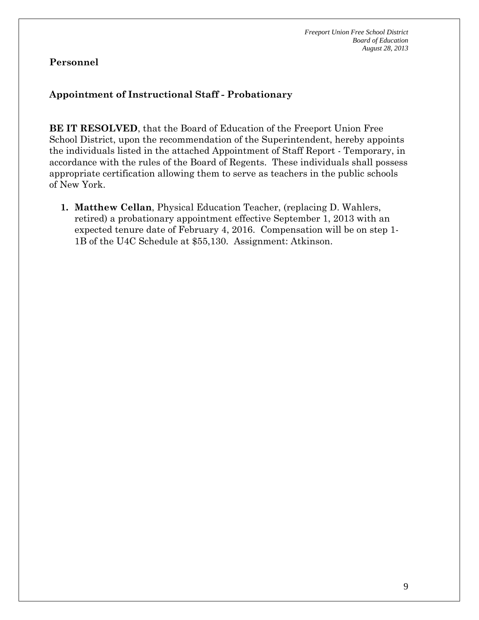# **Appointment of Instructional Staff - Probationary**

**BE IT RESOLVED**, that the Board of Education of the Freeport Union Free School District, upon the recommendation of the Superintendent, hereby appoints the individuals listed in the attached Appointment of Staff Report - Temporary, in accordance with the rules of the Board of Regents. These individuals shall possess appropriate certification allowing them to serve as teachers in the public schools of New York.

**1. Matthew Cellan**, Physical Education Teacher, (replacing D. Wahlers, retired) a probationary appointment effective September 1, 2013 with an expected tenure date of February 4, 2016. Compensation will be on step 1- 1B of the U4C Schedule at \$55,130. Assignment: Atkinson.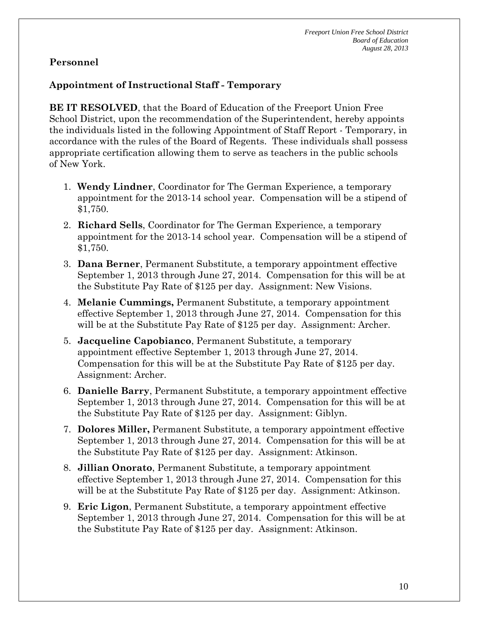# **Appointment of Instructional Staff - Temporary**

**BE IT RESOLVED**, that the Board of Education of the Freeport Union Free School District, upon the recommendation of the Superintendent, hereby appoints the individuals listed in the following Appointment of Staff Report - Temporary, in accordance with the rules of the Board of Regents. These individuals shall possess appropriate certification allowing them to serve as teachers in the public schools of New York.

- 1. **Wendy Lindner**, Coordinator for The German Experience, a temporary appointment for the 2013-14 school year. Compensation will be a stipend of \$1,750.
- 2. **Richard Sells**, Coordinator for The German Experience, a temporary appointment for the 2013-14 school year. Compensation will be a stipend of \$1,750.
- 3. **Dana Berner**, Permanent Substitute, a temporary appointment effective September 1, 2013 through June 27, 2014. Compensation for this will be at the Substitute Pay Rate of \$125 per day. Assignment: New Visions.
- 4. **Melanie Cummings,** Permanent Substitute, a temporary appointment effective September 1, 2013 through June 27, 2014. Compensation for this will be at the Substitute Pay Rate of \$125 per day. Assignment: Archer.
- 5. **Jacqueline Capobianco**, Permanent Substitute, a temporary appointment effective September 1, 2013 through June 27, 2014. Compensation for this will be at the Substitute Pay Rate of \$125 per day. Assignment: Archer.
- 6. **Danielle Barry**, Permanent Substitute, a temporary appointment effective September 1, 2013 through June 27, 2014. Compensation for this will be at the Substitute Pay Rate of \$125 per day. Assignment: Giblyn.
- 7. **Dolores Miller,** Permanent Substitute, a temporary appointment effective September 1, 2013 through June 27, 2014. Compensation for this will be at the Substitute Pay Rate of \$125 per day. Assignment: Atkinson.
- 8. **Jillian Onorato**, Permanent Substitute, a temporary appointment effective September 1, 2013 through June 27, 2014. Compensation for this will be at the Substitute Pay Rate of \$125 per day. Assignment: Atkinson.
- 9. **Eric Ligon**, Permanent Substitute, a temporary appointment effective September 1, 2013 through June 27, 2014. Compensation for this will be at the Substitute Pay Rate of \$125 per day. Assignment: Atkinson.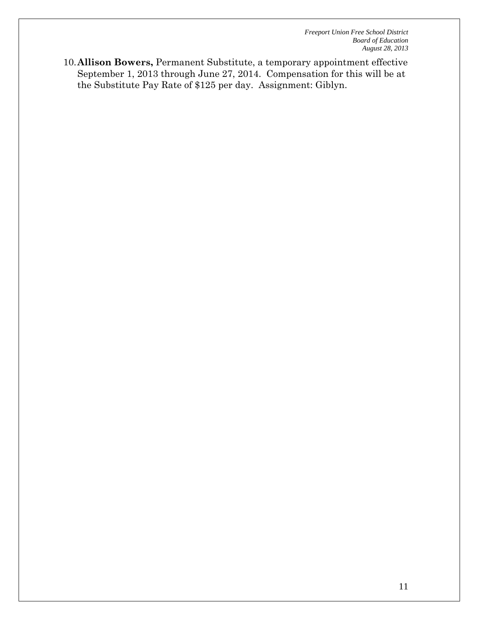10.**Allison Bowers,** Permanent Substitute, a temporary appointment effective September 1, 2013 through June 27, 2014. Compensation for this will be at the Substitute Pay Rate of \$125 per day. Assignment: Giblyn.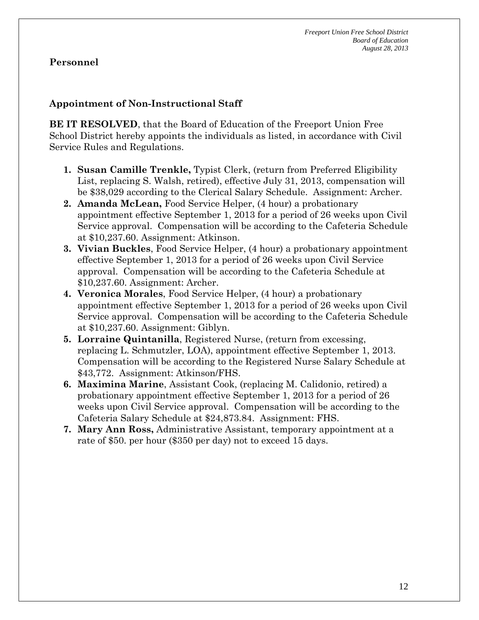# **Appointment of Non-Instructional Staff**

**BE IT RESOLVED**, that the Board of Education of the Freeport Union Free School District hereby appoints the individuals as listed, in accordance with Civil Service Rules and Regulations.

- **1. Susan Camille Trenkle,** Typist Clerk, (return from Preferred Eligibility List, replacing S. Walsh, retired), effective July 31, 2013, compensation will be \$38,029 according to the Clerical Salary Schedule. Assignment: Archer.
- **2. Amanda McLean,** Food Service Helper, (4 hour) a probationary appointment effective September 1, 2013 for a period of 26 weeks upon Civil Service approval. Compensation will be according to the Cafeteria Schedule at \$10,237.60. Assignment: Atkinson.
- **3. Vivian Buckles**, Food Service Helper, (4 hour) a probationary appointment effective September 1, 2013 for a period of 26 weeks upon Civil Service approval. Compensation will be according to the Cafeteria Schedule at \$10,237.60. Assignment: Archer.
- **4. Veronica Morales**, Food Service Helper, (4 hour) a probationary appointment effective September 1, 2013 for a period of 26 weeks upon Civil Service approval. Compensation will be according to the Cafeteria Schedule at \$10,237.60. Assignment: Giblyn.
- **5. Lorraine Quintanilla**, Registered Nurse, (return from excessing, replacing L. Schmutzler, LOA), appointment effective September 1, 2013. Compensation will be according to the Registered Nurse Salary Schedule at \$43,772. Assignment: Atkinson/FHS.
- **6. Maximina Marine**, Assistant Cook, (replacing M. Calidonio, retired) a probationary appointment effective September 1, 2013 for a period of 26 weeks upon Civil Service approval. Compensation will be according to the Cafeteria Salary Schedule at \$24,873.84. Assignment: FHS.
- **7. Mary Ann Ross,** Administrative Assistant, temporary appointment at a rate of \$50. per hour (\$350 per day) not to exceed 15 days.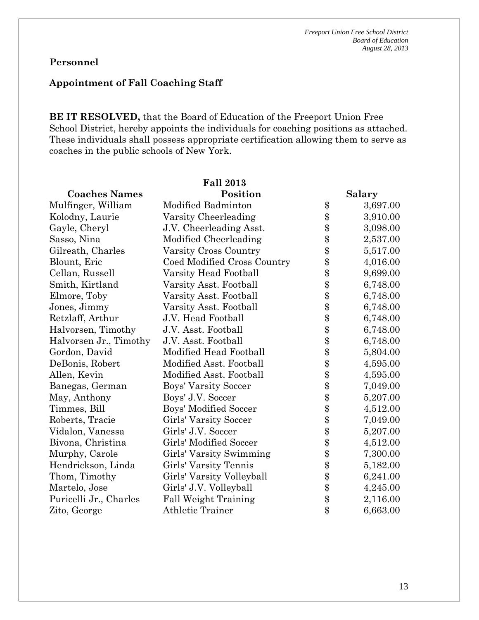# **Appointment of Fall Coaching Staff**

**BE IT RESOLVED,** that the Board of Education of the Freeport Union Free School District, hereby appoints the individuals for coaching positions as attached. These individuals shall possess appropriate certification allowing them to serve as coaches in the public schools of New York.

|                        | <b>Fall 2013</b>              |                |
|------------------------|-------------------------------|----------------|
| <b>Coaches Names</b>   | Position                      | Salary         |
| Mulfinger, William     | Modified Badminton            | \$<br>3,697.00 |
| Kolodny, Laurie        | Varsity Cheerleading          | \$<br>3,910.00 |
| Gayle, Cheryl          | J.V. Cheerleading Asst.       | \$<br>3,098.00 |
| Sasso, Nina            | Modified Cheerleading         | \$<br>2,537.00 |
| Gilreath, Charles      | Varsity Cross Country         | \$<br>5,517.00 |
| Blount, Eric           | Coed Modified Cross Country   | \$<br>4,016.00 |
| Cellan, Russell        | Varsity Head Football         | \$<br>9,699.00 |
| Smith, Kirtland        | Varsity Asst. Football        | \$<br>6,748.00 |
| Elmore, Toby           | Varsity Asst. Football        | \$<br>6,748.00 |
| Jones, Jimmy           | Varsity Asst. Football        | \$<br>6,748.00 |
| Retzlaff, Arthur       | J.V. Head Football            | \$<br>6,748.00 |
| Halvorsen, Timothy     | J.V. Asst. Football           | \$<br>6,748.00 |
| Halvorsen Jr., Timothy | J.V. Asst. Football           | \$<br>6,748.00 |
| Gordon, David          | Modified Head Football        | \$<br>5,804.00 |
| DeBonis, Robert        | Modified Asst. Football       | \$<br>4,595.00 |
| Allen, Kevin           | Modified Asst. Football       | \$<br>4,595.00 |
| Banegas, German        | Boys' Varsity Soccer          | \$<br>7,049.00 |
| May, Anthony           | Boys' J.V. Soccer             | \$<br>5,207.00 |
| Timmes, Bill           | Boys' Modified Soccer         | \$<br>4,512.00 |
| Roberts, Tracie        | Girls' Varsity Soccer         | \$<br>7,049.00 |
| Vidalon, Vanessa       | Girls' J.V. Soccer            | \$<br>5,207.00 |
| Bivona, Christina      | <b>Girls' Modified Soccer</b> | \$<br>4,512.00 |
| Murphy, Carole         | Girls' Varsity Swimming       | \$<br>7,300.00 |
| Hendrickson, Linda     | Girls' Varsity Tennis         | \$<br>5,182.00 |
| Thom, Timothy          | Girls' Varsity Volleyball     | \$<br>6,241.00 |
| Martelo, Jose          | Girls' J.V. Volleyball        | \$<br>4,245.00 |
| Puricelli Jr., Charles | <b>Fall Weight Training</b>   | \$<br>2,116.00 |
| Zito, George           | <b>Athletic Trainer</b>       | \$<br>6,663.00 |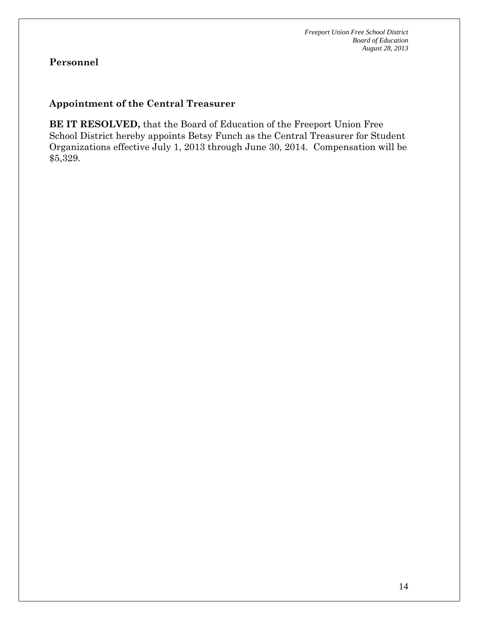# **Appointment of the Central Treasurer**

**BE IT RESOLVED,** that the Board of Education of the Freeport Union Free School District hereby appoints Betsy Funch as the Central Treasurer for Student Organizations effective July 1, 2013 through June 30, 2014. Compensation will be \$5,329.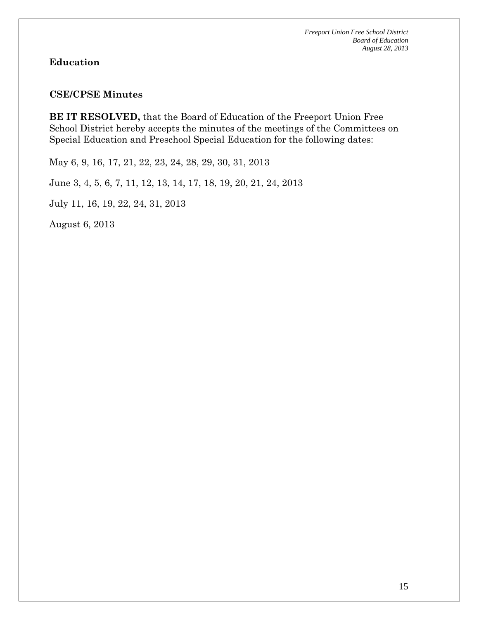# **Education**

#### **CSE/CPSE Minutes**

**BE IT RESOLVED,** that the Board of Education of the Freeport Union Free School District hereby accepts the minutes of the meetings of the Committees on Special Education and Preschool Special Education for the following dates:

May 6, 9, 16, 17, 21, 22, 23, 24, 28, 29, 30, 31, 2013

June 3, 4, 5, 6, 7, 11, 12, 13, 14, 17, 18, 19, 20, 21, 24, 2013

July 11, 16, 19, 22, 24, 31, 2013

August 6, 2013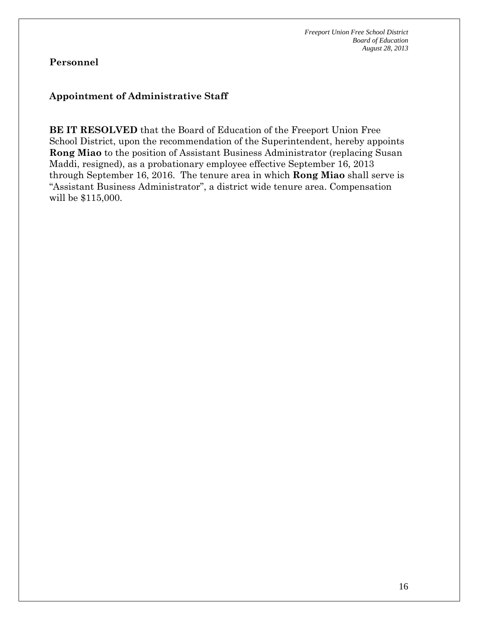# **Appointment of Administrative Staff**

**BE IT RESOLVED** that the Board of Education of the Freeport Union Free School District, upon the recommendation of the Superintendent, hereby appoints **Rong Miao** to the position of Assistant Business Administrator (replacing Susan Maddi, resigned), as a probationary employee effective September 16, 2013 through September 16, 2016. The tenure area in which **Rong Miao** shall serve is "Assistant Business Administrator", a district wide tenure area. Compensation will be \$115,000.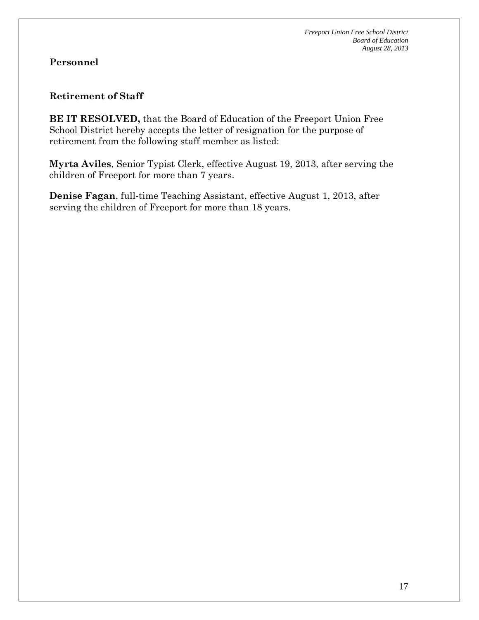#### **Retirement of Staff**

**BE IT RESOLVED,** that the Board of Education of the Freeport Union Free School District hereby accepts the letter of resignation for the purpose of retirement from the following staff member as listed:

**Myrta Aviles**, Senior Typist Clerk, effective August 19, 2013, after serving the children of Freeport for more than 7 years.

**Denise Fagan**, full-time Teaching Assistant, effective August 1, 2013, after serving the children of Freeport for more than 18 years.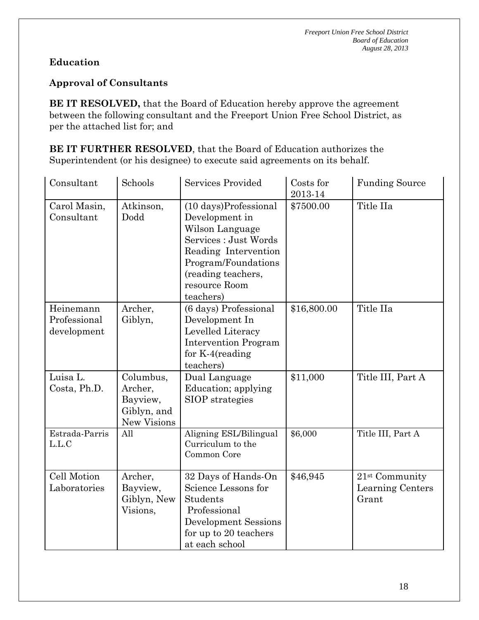# **Education**

# **Approval of Consultants**

**BE IT RESOLVED,** that the Board of Education hereby approve the agreement between the following consultant and the Freeport Union Free School District, as per the attached list for; and

**BE IT FURTHER RESOLVED**, that the Board of Education authorizes the Superintendent (or his designee) to execute said agreements on its behalf.

| Consultant                               | Schools                                                               | <b>Services Provided</b>                                                                                                                                                               | Costs for<br>2013-14 | <b>Funding Source</b>                                   |
|------------------------------------------|-----------------------------------------------------------------------|----------------------------------------------------------------------------------------------------------------------------------------------------------------------------------------|----------------------|---------------------------------------------------------|
| Carol Masin,<br>Consultant               | Atkinson,<br>Dodd                                                     | (10 days)Professional<br>Development in<br>Wilson Language<br>Services : Just Words<br>Reading Intervention<br>Program/Foundations<br>(reading teachers,<br>resource Room<br>teachers) | \$7500.00            | Title IIa                                               |
| Heinemann<br>Professional<br>development | Archer,<br>Giblyn,                                                    | (6 days) Professional<br>Development In<br>Levelled Literacy<br><b>Intervention Program</b><br>for $K-4$ (reading<br>teachers)                                                         | \$16,800.00          | Title IIa                                               |
| Luisa L.<br>Costa, Ph.D.                 | Columbus,<br>Archer,<br>Bayview,<br>Giblyn, and<br><b>New Visions</b> | Dual Language<br>Education; applying<br>SIOP strategies                                                                                                                                | \$11,000             | Title III, Part A                                       |
| Estrada-Parris<br>L.L.C                  | All                                                                   | Aligning ESL/Bilingual<br>Curriculum to the<br>Common Core                                                                                                                             | \$6,000              | Title III, Part A                                       |
| Cell Motion<br>Laboratories              | Archer,<br>Bayview,<br>Giblyn, New<br>Visions,                        | 32 Days of Hands-On<br>Science Lessons for<br>Students<br>Professional<br><b>Development Sessions</b><br>for up to 20 teachers<br>at each school                                       | \$46,945             | 21 <sup>st</sup> Community<br>Learning Centers<br>Grant |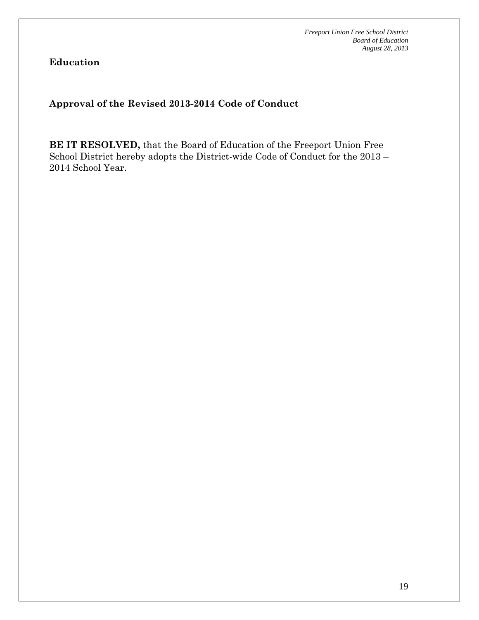**Education** 

**Approval of the Revised 2013-2014 Code of Conduct** 

**BE IT RESOLVED,** that the Board of Education of the Freeport Union Free School District hereby adopts the District-wide Code of Conduct for the 2013 – 2014 School Year.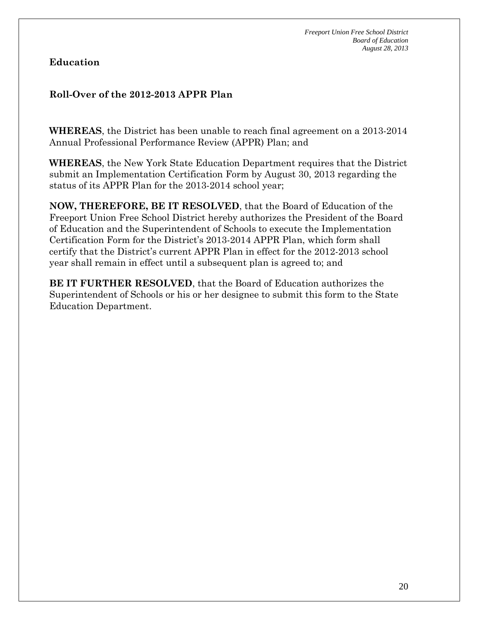# **Education**

# **Roll-Over of the 2012-2013 APPR Plan**

**WHEREAS**, the District has been unable to reach final agreement on a 2013-2014 Annual Professional Performance Review (APPR) Plan; and

**WHEREAS**, the New York State Education Department requires that the District submit an Implementation Certification Form by August 30, 2013 regarding the status of its APPR Plan for the 2013-2014 school year;

**NOW, THEREFORE, BE IT RESOLVED**, that the Board of Education of the Freeport Union Free School District hereby authorizes the President of the Board of Education and the Superintendent of Schools to execute the Implementation Certification Form for the District's 2013-2014 APPR Plan, which form shall certify that the District's current APPR Plan in effect for the 2012-2013 school year shall remain in effect until a subsequent plan is agreed to; and

**BE IT FURTHER RESOLVED**, that the Board of Education authorizes the Superintendent of Schools or his or her designee to submit this form to the State Education Department.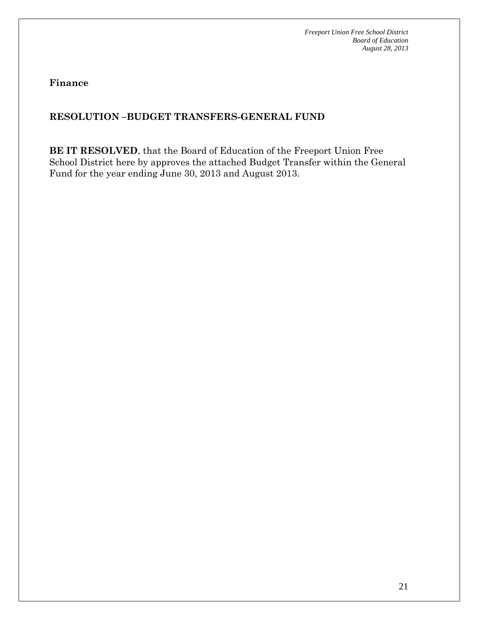**Finance** 

# **RESOLUTION –BUDGET TRANSFERS-GENERAL FUND**

**BE IT RESOLVED**, that the Board of Education of the Freeport Union Free School District here by approves the attached Budget Transfer within the General Fund for the year ending June 30, 2013 and August 2013.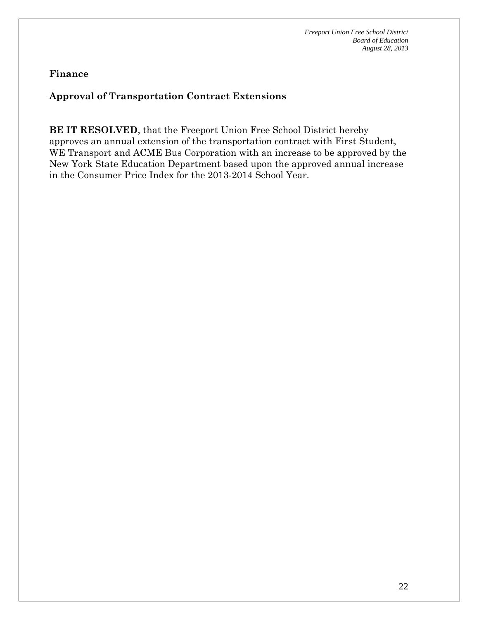# **Approval of Transportation Contract Extensions**

**BE IT RESOLVED**, that the Freeport Union Free School District hereby approves an annual extension of the transportation contract with First Student, WE Transport and ACME Bus Corporation with an increase to be approved by the New York State Education Department based upon the approved annual increase in the Consumer Price Index for the 2013-2014 School Year.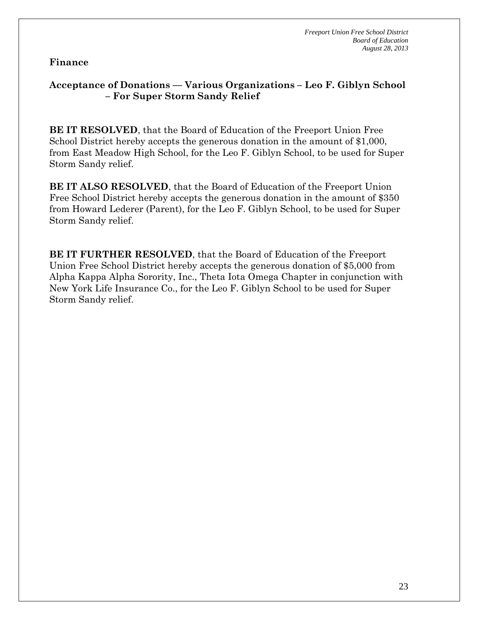# **Acceptance of Donations –– Various Organizations – Leo F. Giblyn School – For Super Storm Sandy Relief**

**BE IT RESOLVED**, that the Board of Education of the Freeport Union Free School District hereby accepts the generous donation in the amount of \$1,000, from East Meadow High School, for the Leo F. Giblyn School, to be used for Super Storm Sandy relief.

**BE IT ALSO RESOLVED**, that the Board of Education of the Freeport Union Free School District hereby accepts the generous donation in the amount of \$350 from Howard Lederer (Parent), for the Leo F. Giblyn School, to be used for Super Storm Sandy relief.

**BE IT FURTHER RESOLVED**, that the Board of Education of the Freeport Union Free School District hereby accepts the generous donation of \$5,000 from Alpha Kappa Alpha Sorority, Inc., Theta Iota Omega Chapter in conjunction with New York Life Insurance Co., for the Leo F. Giblyn School to be used for Super Storm Sandy relief.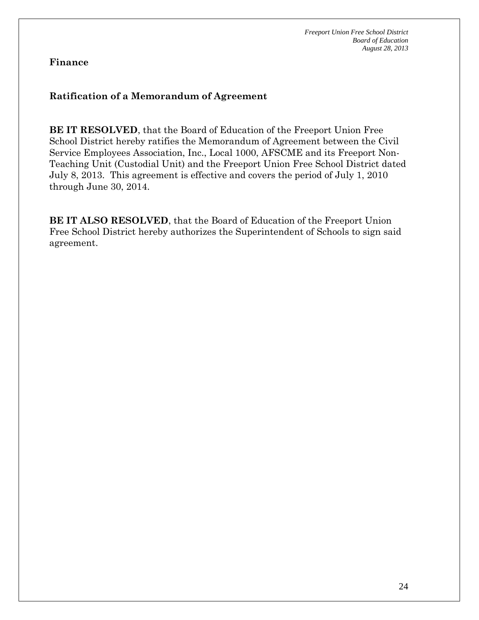#### **Ratification of a Memorandum of Agreement**

**BE IT RESOLVED**, that the Board of Education of the Freeport Union Free School District hereby ratifies the Memorandum of Agreement between the Civil Service Employees Association, Inc., Local 1000, AFSCME and its Freeport Non-Teaching Unit (Custodial Unit) and the Freeport Union Free School District dated July 8, 2013. This agreement is effective and covers the period of July 1, 2010 through June 30, 2014.

**BE IT ALSO RESOLVED**, that the Board of Education of the Freeport Union Free School District hereby authorizes the Superintendent of Schools to sign said agreement.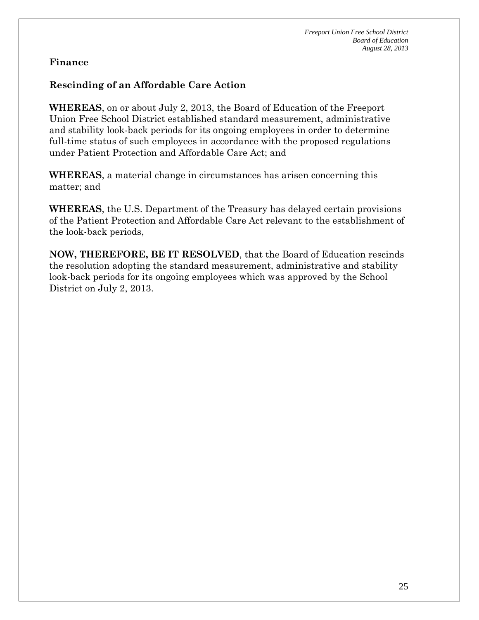# **Rescinding of an Affordable Care Action**

**WHEREAS**, on or about July 2, 2013, the Board of Education of the Freeport Union Free School District established standard measurement, administrative and stability look-back periods for its ongoing employees in order to determine full-time status of such employees in accordance with the proposed regulations under Patient Protection and Affordable Care Act; and

**WHEREAS**, a material change in circumstances has arisen concerning this matter; and

**WHEREAS**, the U.S. Department of the Treasury has delayed certain provisions of the Patient Protection and Affordable Care Act relevant to the establishment of the look-back periods,

**NOW, THEREFORE, BE IT RESOLVED**, that the Board of Education rescinds the resolution adopting the standard measurement, administrative and stability look-back periods for its ongoing employees which was approved by the School District on July 2, 2013.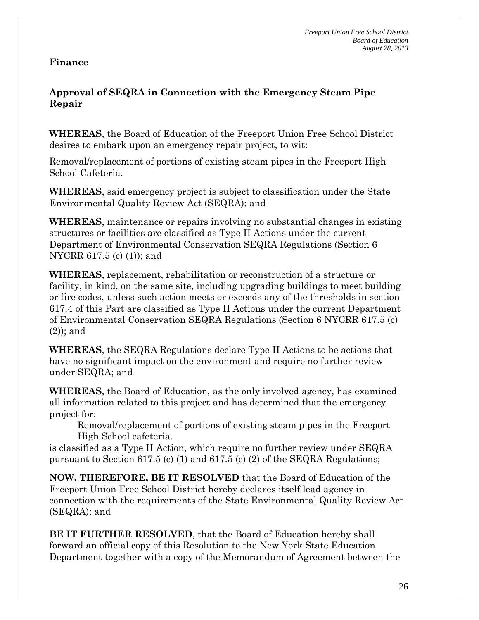# **Approval of SEQRA in Connection with the Emergency Steam Pipe Repair**

**WHEREAS**, the Board of Education of the Freeport Union Free School District desires to embark upon an emergency repair project, to wit:

Removal/replacement of portions of existing steam pipes in the Freeport High School Cafeteria.

**WHEREAS**, said emergency project is subject to classification under the State Environmental Quality Review Act (SEQRA); and

**WHEREAS**, maintenance or repairs involving no substantial changes in existing structures or facilities are classified as Type II Actions under the current Department of Environmental Conservation SEQRA Regulations (Section 6 NYCRR 617.5 (c) (1)); and

**WHEREAS**, replacement, rehabilitation or reconstruction of a structure or facility, in kind, on the same site, including upgrading buildings to meet building or fire codes, unless such action meets or exceeds any of the thresholds in section 617.4 of this Part are classified as Type II Actions under the current Department of Environmental Conservation SEQRA Regulations (Section 6 NYCRR 617.5 (c) (2)); and

**WHEREAS**, the SEQRA Regulations declare Type II Actions to be actions that have no significant impact on the environment and require no further review under SEQRA; and

**WHEREAS**, the Board of Education, as the only involved agency, has examined all information related to this project and has determined that the emergency project for:

Removal/replacement of portions of existing steam pipes in the Freeport High School cafeteria.

is classified as a Type II Action, which require no further review under SEQRA pursuant to Section 617.5 (c) (1) and 617.5 (c) (2) of the SEQRA Regulations;

**NOW, THEREFORE, BE IT RESOLVED** that the Board of Education of the Freeport Union Free School District hereby declares itself lead agency in connection with the requirements of the State Environmental Quality Review Act (SEQRA); and

**BE IT FURTHER RESOLVED**, that the Board of Education hereby shall forward an official copy of this Resolution to the New York State Education Department together with a copy of the Memorandum of Agreement between the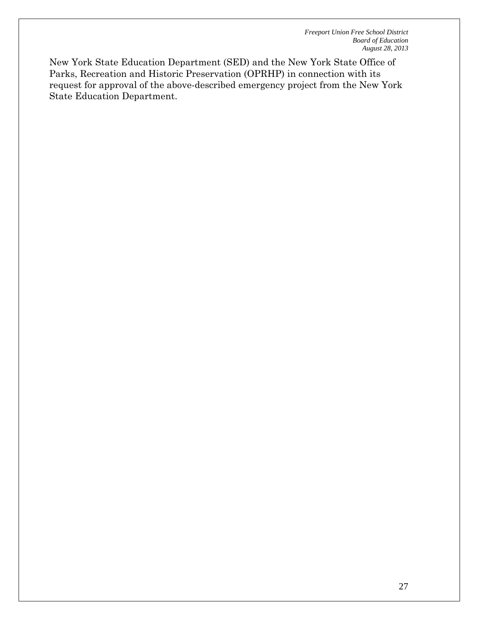New York State Education Department (SED) and the New York State Office of Parks, Recreation and Historic Preservation (OPRHP) in connection with its request for approval of the above-described emergency project from the New York State Education Department.